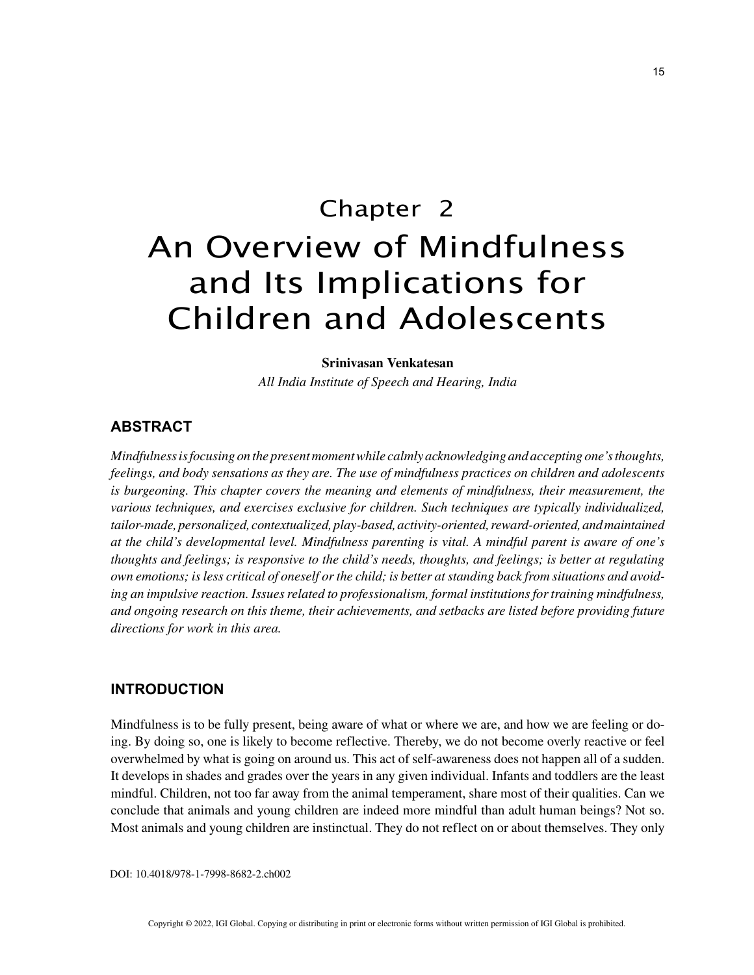# Chapter 2 An Overview of Mindfulness and Its Implications for Children and Adolescents

#### **Srinivasan Venkatesan**

*All India Institute of Speech and Hearing, India*

## **ABSTRACT**

*Mindfulness is focusing on the present moment while calmly acknowledging and accepting one's thoughts, feelings, and body sensations as they are. The use of mindfulness practices on children and adolescents is burgeoning. This chapter covers the meaning and elements of mindfulness, their measurement, the various techniques, and exercises exclusive for children. Such techniques are typically individualized, tailor-made, personalized, contextualized, play-based, activity-oriented, reward-oriented, and maintained at the child's developmental level. Mindfulness parenting is vital. A mindful parent is aware of one's thoughts and feelings; is responsive to the child's needs, thoughts, and feelings; is better at regulating own emotions; is less critical of oneself or the child; is better at standing back from situations and avoiding an impulsive reaction. Issues related to professionalism, formal institutions for training mindfulness, and ongoing research on this theme, their achievements, and setbacks are listed before providing future directions for work in this area.*

### **INTRODUCTION**

Mindfulness is to be fully present, being aware of what or where we are, and how we are feeling or doing. By doing so, one is likely to become reflective. Thereby, we do not become overly reactive or feel overwhelmed by what is going on around us. This act of self-awareness does not happen all of a sudden. It develops in shades and grades over the years in any given individual. Infants and toddlers are the least mindful. Children, not too far away from the animal temperament, share most of their qualities. Can we conclude that animals and young children are indeed more mindful than adult human beings? Not so. Most animals and young children are instinctual. They do not reflect on or about themselves. They only

DOI: 10.4018/978-1-7998-8682-2.ch002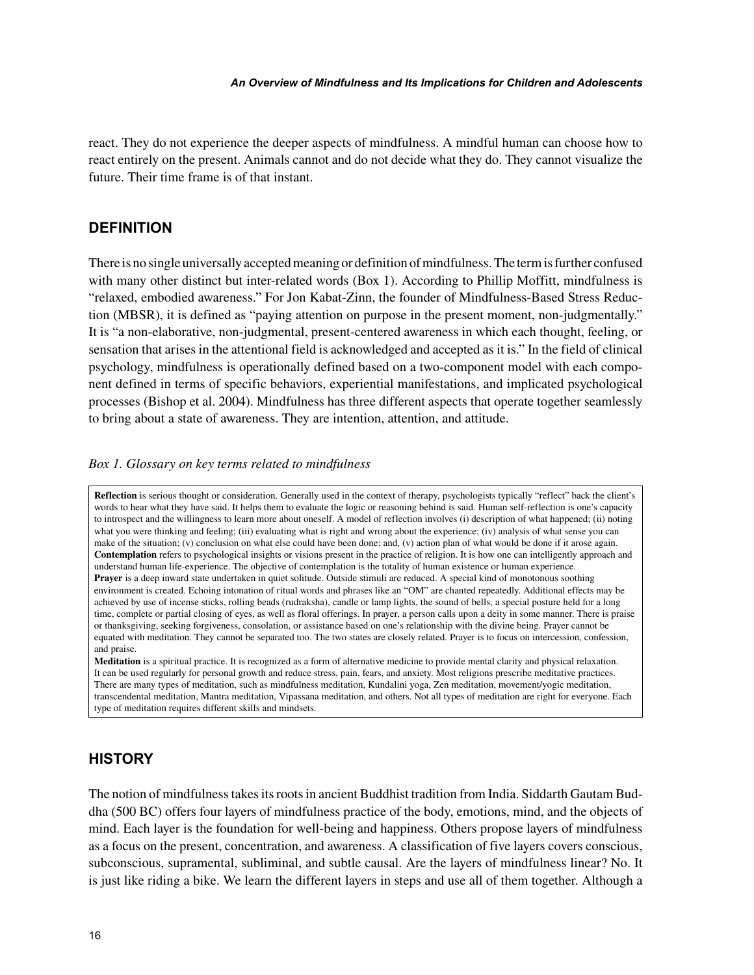react. They do not experience the deeper aspects of mindfulness. A mindful human can choose how to react entirely on the present. Animals cannot and do not decide what they do. They cannot visualize the future. Their time frame is of that instant.

## **DEFINITION**

There is no single universally accepted meaning or definition of mindfulness. The term is further confused with many other distinct but inter-related words (Box 1). According to Phillip Moffitt, mindfulness is "relaxed, embodied awareness." For Jon Kabat-Zinn, the founder of Mindfulness-Based Stress Reduction (MBSR), it is defined as "paying attention on purpose in the present moment, non-judgmentally." It is "a non-elaborative, non-judgmental, present-centered awareness in which each thought, feeling, or sensation that arises in the attentional field is acknowledged and accepted as it is." In the field of clinical psychology, mindfulness is operationally defined based on a two-component model with each component defined in terms of specific behaviors, experiential manifestations, and implicated psychological processes (Bishop et al. 2004). Mindfulness has three different aspects that operate together seamlessly to bring about a state of awareness. They are intention, attention, and attitude.

#### *Box 1. Glossary on key terms related to mindfulness*

Reflection is serious thought or consideration. Generally used in the context of therapy, psychologists typically "reflect" back the client's words to hear what they have said. It helps them to evaluate the logic or reasoning behind is said. Human self-reflection is one's capacity to introspect and the willingness to learn more about oneself. A model of reflection involves (i) description of what happened; (ii) noting what you were thinking and feeling; (iii) evaluating what is right and wrong about the experience; (iv) analysis of what sense you can make of the situation; (v) conclusion on what else could have been done; and, (v) action plan of what would be done if it arose again. **Contemplation** refers to psychological insights or visions present in the practice of religion. It is how one can intelligently approach and understand human life-experience. The objective of contemplation is the totality of human existence or human experience. **Prayer** is a deep inward state undertaken in quiet solitude. Outside stimuli are reduced. A special kind of monotonous soothing environment is created. Echoing intonation of ritual words and phrases like an "OM" are chanted repeatedly. Additional effects may be achieved by use of incense sticks, rolling beads (rudraksha), candle or lamp lights, the sound of bells, a special posture held for a long time, complete or partial closing of eyes, as well as floral offerings. In prayer, a person calls upon a deity in some manner. There is praise or thanksgiving, seeking forgiveness, consolation, or assistance based on one's relationship with the divine being. Prayer cannot be equated with meditation. They cannot be separated too. The two states are closely related. Prayer is to focus on intercession, confession, and praise.

**Meditation** is a spiritual practice. It is recognized as a form of alternative medicine to provide mental clarity and physical relaxation. It can be used regularly for personal growth and reduce stress, pain, fears, and anxiety. Most religions prescribe meditative practices. There are many types of meditation, such as mindfulness meditation, Kundalini yoga, Zen meditation, movement/yogic meditation, transcendental meditation, Mantra meditation, Vipassana meditation, and others. Not all types of meditation are right for everyone. Each type of meditation requires different skills and mindsets.

## **HISTORY**

The notion of mindfulness takes its roots in ancient Buddhist tradition from India. Siddarth Gautam Buddha (500 BC) offers four layers of mindfulness practice of the body, emotions, mind, and the objects of mind. Each layer is the foundation for well-being and happiness. Others propose layers of mindfulness as a focus on the present, concentration, and awareness. A classification of five layers covers conscious, subconscious, supramental, subliminal, and subtle causal. Are the layers of mindfulness linear? No. It is just like riding a bike. We learn the different layers in steps and use all of them together. Although a